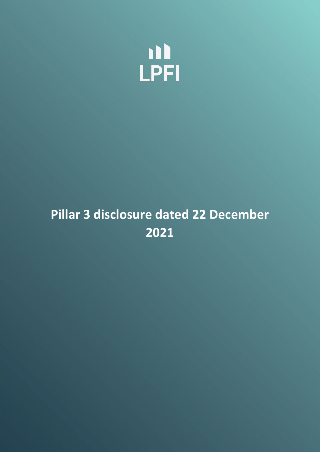

# **Pillar 3 disclosure dated 22 December 2021**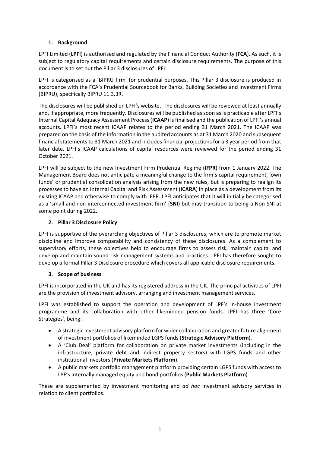# **1. Background**

LPFI Limited (**LPFI**) is authorised and regulated by the Financial Conduct Authority (**FCA**). As such, it is subject to regulatory capital requirements and certain disclosure requirements. The purpose of this document is to set out the Pillar 3 disclosures of LPFI.

LPFI is categorised as a 'BIPRU firm' for prudential purposes. This Pillar 3 disclosure is produced in accordance with the FCA's Prudential Sourcebook for Banks, Building Societies and Investment Firms (BIPRU), specifically BIPRU 11.3.3R.

The disclosures will be published on LPFI's website. The disclosures will be reviewed at least annually and, if appropriate, more frequently. Disclosures will be published as soon as is practicable after LPFI's Internal Capital Adequacy Assessment Process (**ICAAP**) is finalised and the publication of LPFI's annual accounts. LPFI's most recent ICAAP relates to the period ending 31 March 2021. The ICAAP was prepared on the basis of the information in the audited accounts as at 31 March 2020 and subsequent financial statements to 31 March 2021 and includes financial projections for a 3 year period from that later date. LPFI's ICAAP calculations of capital resources were reviewed for the period ending 31 October 2021.

LPFI will be subject to the new Investment Firm Prudential Regime (**IFPR**) from 1 January 2022. The Management Board does not anticipate a meaningful change to the firm's capital requirement, 'own funds' or prudential consolidation analysis arising from the new rules, but is preparing to realign its processes to have an Internal Capital and Risk Assessment (**ICARA**) in place as a development from its existing ICAAP and otherwise to comply with IFPR. LPFI anticipates that it will initially be categorised as a 'small and non-interconnected investment firm' (**SNI**) but may transition to being a Non-SNI at some point during 2022.

# **2. Pillar 3 Disclosure Policy**

LPFI is supportive of the overarching objectives of Pillar 3 disclosures, which are to promote market discipline and improve comparability and consistency of these disclosures. As a complement to supervisory efforts, these objectives help to encourage firms to assess risk, maintain capital and develop and maintain sound risk management systems and practices. LPFI has therefore sought to develop a formal Pillar 3 Disclosure procedure which covers all applicable disclosure requirements.

# **3. Scope of business**

LPFI is incorporated in the UK and has its registered address in the UK. The principal activities of LPFI are the provision of investment advisory, arranging and investment management services.

LPFI was established to support the operation and development of LPF's in-house investment programme and its collaboration with other likeminded pension funds. LPFI has three 'Core Strategies', being:

- A strategic investment advisory platform for wider collaboration and greater future alignment of investment portfolios of likeminded LGPS funds (**Strategic Advisory Platform**).
- A 'Club Deal' platform for collaboration on private market investments (including in the infrastructure, private debt and indirect property sectors) with LGPS funds and other institutional investors (**Private Markets Platform**).
- A public markets portfolio management platform providing certain LGPS funds with access to LPF's internally managed equity and bond portfolios (**Public Markets Platform**).

These are supplemented by investment monitoring and *ad hoc* investment advisory services in relation to client portfolios.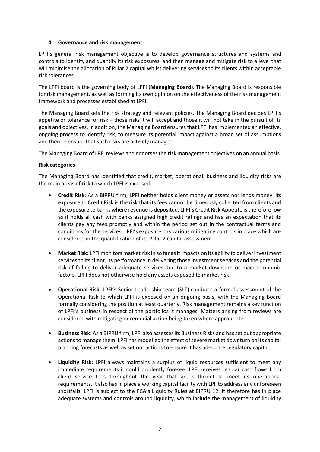#### **4. Governance and risk management**

LPFI's general risk management objective is to develop governance structures and systems and controls to identify and quantify its risk exposures, and then manage and mitigate risk to a level that will minimise the allocation of Pillar 2 capital whilst delivering services to its clients within acceptable risk tolerances.

The LPFI board is the governing body of LPFI (**Managing Board**). The Managing Board is responsible for risk management, as well as forming its own opinion on the effectiveness of the risk management framework and processes established at LPFI.

The Managing Board sets the risk strategy and relevant policies. The Managing Board decides LPFI's appetite or tolerance for risk – those risks it will accept and those it will not take in the pursuit of its goals and objectives. In addition, the Managing Board ensures that LPFI has implemented an effective, ongoing process to identify risk, to measure its potential impact against a broad set of assumptions and then to ensure that such risks are actively managed.

The Managing Board of LPFI reviews and endorses the risk management objectives on an annual basis.

#### **Risk categories**

The Managing Board has identified that credit, market, operational, business and liquidity risks are the main areas of risk to which LPFI is exposed.

- **Credit Risk**: As a BIPRU firm, LPFI neither holds client money or assets nor lends money. Its exposure to Credit Risk is the risk that its fees cannot be timeously collected from clients and the exposure to banks where revenue is deposited. LPFI's Credit Risk Appetite is therefore low as it holds all cash with banks assigned high credit ratings and has an expectation that its clients pay any fees promptly and within the period set out in the contractual terms and conditions for the services. LPFI's exposure has various mitigating controls in place which are considered in the quantification of its Pillar 2 capital assessment.
- **Market Risk:** LPFI monitors market risk in so far as it impacts on its ability to deliver investment services to its client, its performance in delivering those investment services and the potential risk of failing to deliver adequate services due to a market downturn or macroeconomic factors. LPFI does not otherwise hold any assets exposed to market risk.
- **Operational Risk**: LPFI's Senior Leadership team (SLT) conducts a formal assessment of the Operational Risk to which LPFI is exposed on an ongoing basis, with the Managing Board formally considering the position at least quarterly. Risk management remains a key function of LPFI's business in respect of the portfolios it manages. Matters arising from reviews are considered with mitigating or remedial action being taken where appropriate.
- **Business Risk**: As a BIPRU firm, LPFI also assesses its Business Risks and has set out appropriate actions to manage them. LPFI has modelled the effect of severe market downturn on its capital planning forecasts as well as set out actions to ensure it has adequate regulatory capital.
- **Liquidity Risk**: LPFI always maintains a surplus of liquid resources sufficient to meet any immediate requirements it could prudently foresee. LPFI receives regular cash flows from client service fees throughout the year that are sufficient to meet its operational requirements. It also has in place a working capital facility with LPF to address any unforeseen shortfalls. LPFI is subject to the FCA's Liquidity Rules at BIPRU 12. It therefore has in place adequate systems and controls around liquidity, which include the management of liquidity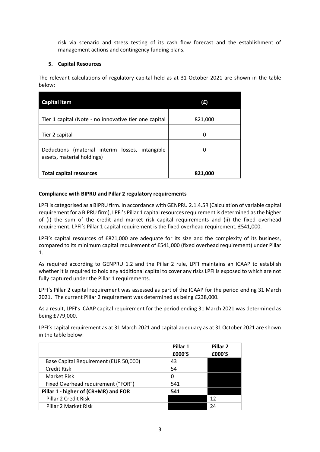risk via scenario and stress testing of its cash flow forecast and the establishment of management actions and contingency funding plans.

# **5. Capital Resources**

The relevant calculations of regulatory capital held as at 31 October 2021 are shown in the table below:

| <b>Capital item</b>                                                           | (£)     |
|-------------------------------------------------------------------------------|---------|
| Tier 1 capital (Note - no innovative tier one capital                         | 821,000 |
| Tier 2 capital                                                                | 0       |
| Deductions (material interim losses, intangible<br>assets, material holdings) |         |
| <b>Total capital resources</b>                                                | 821,000 |

# **Compliance with BIPRU and Pillar 2 regulatory requirements**

LPFI is categorised as a BIPRU firm. In accordance with GENPRU 2.1.4.5R (Calculation of variable capital requirement for a BIPRU firm), LPFI's Pillar 1 capital resources requirement is determined as the higher of (i) the sum of the credit and market risk capital requirements and (ii) the fixed overhead requirement. LPFI's Pillar 1 capital requirement is the fixed overhead requirement, £541,000.

LPFI's capital resources of £821,000 are adequate for its size and the complexity of its business, compared to its minimum capital requirement of £541,000 (fixed overhead requirement) under Pillar 1.

As required according to GENPRU 1.2 and the Pillar 2 rule, LPFI maintains an ICAAP to establish whether it is required to hold any additional capital to cover any risks LPFI is exposed to which are not fully captured under the Pillar 1 requirements.

LPFI's Pillar 2 capital requirement was assessed as part of the ICAAP for the period ending 31 March 2021. The current Pillar 2 requirement was determined as being £238,000.

As a result, LPFI's ICAAP capital requirement for the period ending 31 March 2021 was determined as being £779,000.

LPFI's capital requirement as at 31 March 2021 and capital adequacy as at 31 October 2021 are shown in the table below:

|                                       | Pillar 1 | Pillar <sub>2</sub> |
|---------------------------------------|----------|---------------------|
|                                       | £000'S   | £000'S              |
| Base Capital Requirement (EUR 50,000) | 43       |                     |
| <b>Credit Risk</b>                    | 54       |                     |
| Market Risk                           | 0        |                     |
| Fixed Overhead requirement ("FOR")    | 541      |                     |
| Pillar 1 - higher of (CR+MR) and FOR  | 541      |                     |
| Pillar 2 Credit Risk                  |          | 12                  |
| Pillar 2 Market Risk                  |          | 24                  |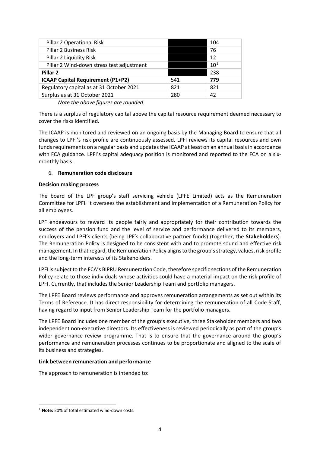| Pillar 2 Operational Risk                 |     | 104      |
|-------------------------------------------|-----|----------|
| <b>Pillar 2 Business Risk</b>             |     | 76       |
| Pillar 2 Liquidity Risk                   |     | 12       |
| Pillar 2 Wind-down stress test adjustment |     | $10^{1}$ |
| Pillar <sub>2</sub>                       |     | 238      |
| ICAAP Capital Requirement (P1+P2)         | 541 | 779      |
| Regulatory capital as at 31 October 2021  | 821 | 821      |
| Surplus as at 31 October 2021             | 280 | 42       |
|                                           |     |          |

*Note the above figures are rounded.*

There is a surplus of regulatory capital above the capital resource requirement deemed necessary to cover the risks identified.

The ICAAP is monitored and reviewed on an ongoing basis by the Managing Board to ensure that all changes to LPFI's risk profile are continuously assessed. LPFI reviews its capital resources and own funds requirements on a regular basis and updates the ICAAP at least on an annual basis in accordance with FCA guidance. LPFI's capital adequacy position is monitored and reported to the FCA on a sixmonthly basis.

# 6. **Remuneration code disclosure**

#### **Decision making process**

The board of the LPF group's staff servicing vehicle (LPFE Limited) acts as the Remuneration Committee for LPFI. It oversees the establishment and implementation of a Remuneration Policy for all employees.

LPF endeavours to reward its people fairly and appropriately for their contribution towards the success of the pension fund and the level of service and performance delivered to its members, employers and LPFI's clients (being LPF's collaborative partner funds) (together, the **Stakeholders**). The Remuneration Policy is designed to be consistent with and to promote sound and effective risk management. In that regard, the Remuneration Policy aligns to the group's strategy, values, risk profile and the long-term interests of its Stakeholders.

LPFI is subject to the FCA's BIPRU Remuneration Code, therefore specific sections of the Remuneration Policy relate to those individuals whose activities could have a material impact on the risk profile of LPFI. Currently, that includes the Senior Leadership Team and portfolio managers.

The LPFE Board reviews performance and approves remuneration arrangements as set out within its Terms of Reference. It has direct responsibility for determining the remuneration of all Code Staff, having regard to input from Senior Leadership Team for the portfolio managers.

The LPFE Board includes one member of the group's executive, three Stakeholder members and two independent non-executive directors. Its effectiveness is reviewed periodically as part of the group's wider governance review programme. That is to ensure that the governance around the group's performance and remuneration processes continues to be proportionate and aligned to the scale of its business and strategies.

#### **Link between remuneration and performance**

The approach to remuneration is intended to:

<span id="page-4-0"></span><sup>&</sup>lt;sup>1</sup> Note: 20% of total estimated wind-down costs.